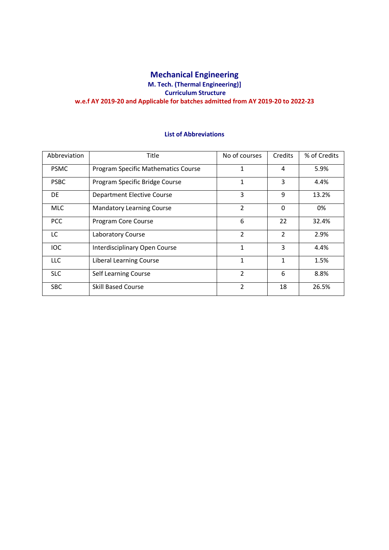# **Mechanical Engineering M. Tech. (Thermal Engineering)] Curriculum Structure w.e.f AY 2019-20 and Applicable for batches admitted from AY 2019-20 to 2022-23**

## **List of Abbreviations**

| Abbreviation | Title                               | No of courses  | <b>Credits</b> | % of Credits |
|--------------|-------------------------------------|----------------|----------------|--------------|
| <b>PSMC</b>  | Program Specific Mathematics Course | 1              | 4              | 5.9%         |
| <b>PSBC</b>  | Program Specific Bridge Course      | 1              | 3              | 4.4%         |
| DE.          | Department Elective Course          | 3              | 9              | 13.2%        |
| <b>MLC</b>   | <b>Mandatory Learning Course</b>    | 2              | $\Omega$       | 0%           |
| <b>PCC</b>   | Program Core Course                 | 6              | 22             | 32.4%        |
| LC.          | Laboratory Course                   | $\overline{2}$ | $\overline{2}$ | 2.9%         |
| <b>IOC</b>   | Interdisciplinary Open Course       | 1              | 3              | 4.4%         |
| <b>LLC</b>   | Liberal Learning Course             | 1              | 1              | 1.5%         |
| <b>SLC</b>   | Self Learning Course                | $\overline{2}$ | 6              | 8.8%         |
| <b>SBC</b>   | Skill Based Course                  | $\overline{2}$ | 18             | 26.5%        |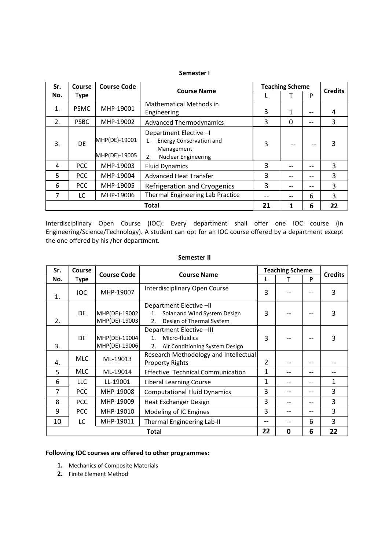#### **Semester I**

| Sr. | Course       | <b>Course Code</b>             | <b>Course Name</b>                                                                                               |    | <b>Teaching Scheme</b> |    | <b>Credits</b> |
|-----|--------------|--------------------------------|------------------------------------------------------------------------------------------------------------------|----|------------------------|----|----------------|
| No. | Type         |                                |                                                                                                                  |    |                        | P  |                |
| 1.  | <b>PSMC</b>  | MHP-19001                      | <b>Mathematical Methods in</b><br>Engineering                                                                    | 3  | 1                      | -- | 4              |
| 2.  | <b>PSBC</b>  | MHP-19002                      | <b>Advanced Thermodynamics</b>                                                                                   | 3  | 0                      | -- | 3              |
| 3.  | DF           | MHP(DE)-19001<br>MHP(DE)-19005 | Department Elective -I<br><b>Energy Conservation and</b><br>1.<br>Management<br><b>Nuclear Engineering</b><br>2. | 3  |                        |    | 3              |
| 4   | <b>PCC</b>   | MHP-19003                      | <b>Fluid Dynamics</b>                                                                                            | 3  |                        |    | 3              |
| 5.  | <b>PCC</b>   | MHP-19004                      | <b>Advanced Heat Transfer</b>                                                                                    | 3  |                        |    | 3              |
| 6   | <b>PCC</b>   | MHP-19005                      | Refrigeration and Cryogenics                                                                                     | 3  |                        | -- | 3              |
| 7   | LC           | MHP-19006                      | Thermal Engineering Lab Practice                                                                                 |    |                        | 6  | 3              |
|     | <b>Total</b> |                                |                                                                                                                  | 21 |                        | 6  | 22             |

Interdisciplinary Open Course (IOC): Every department shall offer one IOC course (in Engineering/Science/Technology). A student can opt for an IOC course offered by a department except the one offered by his /her department.

#### **Semester II**

| Sr.         | <b>Course</b> | <b>Course Code</b>             | <b>Course Name</b>                                                                                       |   | <b>Teaching Scheme</b> |    | <b>Credits</b> |
|-------------|---------------|--------------------------------|----------------------------------------------------------------------------------------------------------|---|------------------------|----|----------------|
| No.         | Type          |                                |                                                                                                          |   |                        | P  |                |
| 1.          | <b>IOC</b>    | MHP-19007                      | Interdisciplinary Open Course                                                                            | 3 |                        |    | 3              |
| 2.          | DE.           | MHP(DE)-19002<br>MHP(DE)-19003 | Department Elective -II<br>Solar and Wind System Design<br>$1_{\cdot}$<br>Design of Thermal System<br>2. |   |                        |    | 3              |
| 3.          | DE            | MHP(DE)-19004<br>MHP(DE)-19006 | Department Elective -III<br>Micro-fluidics<br>$1_{-}$<br>2.<br>Air Conditioning System Design            |   |                        |    | 3              |
| 4.          | <b>MLC</b>    | ML-19013                       | Research Methodology and Intellectual<br><b>Property Rights</b>                                          |   |                        | -- |                |
| 5           | <b>MLC</b>    | ML-19014                       | <b>Effective Technical Communication</b>                                                                 | 1 |                        | -- |                |
| 6           | <b>LLC</b>    | LL-19001                       | Liberal Learning Course                                                                                  | 1 |                        | -- | 1              |
| 7           | <b>PCC</b>    | MHP-19008                      | <b>Computational Fluid Dynamics</b>                                                                      |   |                        |    | 3              |
| 8           | <b>PCC</b>    | MHP-19009                      | <b>Heat Exchanger Design</b>                                                                             |   |                        | -- | 3              |
| 9           | <b>PCC</b>    | MHP-19010                      | Modeling of IC Engines                                                                                   |   |                        | -- | 3              |
| 10          | LC            | MHP-19011                      | <b>Thermal Engineering Lab-II</b>                                                                        |   |                        | 6  | 3              |
| 22<br>Total |               |                                |                                                                                                          |   | O                      | 6  | 22             |

## **Following IOC courses are offered to other programmes:**

- **1.** Mechanics of Composite Materials
- **2.** Finite Element Method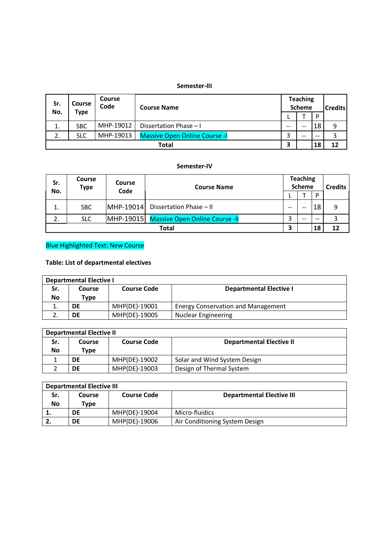#### **Semester-III**

| Sr.<br>No. | Course     | Course<br>Code | <b>Course Name</b>                   |       | <b>Teaching</b><br><b>Scheme</b> |       |    |  |  | <b>Credits</b> |
|------------|------------|----------------|--------------------------------------|-------|----------------------------------|-------|----|--|--|----------------|
|            | Type       |                |                                      |       |                                  | D     |    |  |  |                |
| 1.         | <b>SBC</b> | MHP-19012      | Dissertation Phase - I               | $- -$ | $- -$                            | 18    | 9  |  |  |                |
| 2.         | <b>SLC</b> | MHP-19013      | <b>Massive Open Online Course -I</b> | ⌒     | $- -$                            | $- -$ |    |  |  |                |
|            | Total      |                |                                      | З     |                                  | 18    | 12 |  |  |                |

## **Semester-IV**

| Sr.<br>No. | Course<br><b>Type</b>   | <b>Course</b><br>Code | <b>Course Name</b>                       |       | <b>Teaching</b><br><b>Scheme</b> | <b>D</b> | <b>Credits</b> |
|------------|-------------------------|-----------------------|------------------------------------------|-------|----------------------------------|----------|----------------|
| 1.         | <b>SBC</b>              | MHP-19014             | Dissertation Phase - II                  | $- -$ | $- -$                            | 18       |                |
| 2.         | <b>SLC</b>              |                       | MHP-19015 Massive Open Online Course -II | ำ     | --                               | $-$      |                |
|            | З<br>18<br><b>Total</b> |                       |                                          | 12    |                                  |          |                |

# Blue Highlighted Text: New Course

# **Table: List of departmental electives**

| <b>Departmental Elective I</b> |        |                    |                                           |  |  |
|--------------------------------|--------|--------------------|-------------------------------------------|--|--|
| Sr.                            | Course | <b>Course Code</b> | <b>Departmental Elective I</b>            |  |  |
| No                             | Type   |                    |                                           |  |  |
| ∸.                             | DE     | MHP(DE)-19001      | <b>Energy Conservation and Management</b> |  |  |
|                                | DE     | MHP(DE)-19005      | <b>Nuclear Engineering</b>                |  |  |

|     | <b>Departmental Elective II</b> |                    |                                 |  |  |  |
|-----|---------------------------------|--------------------|---------------------------------|--|--|--|
| Sr. | Course                          | <b>Course Code</b> | <b>Departmental Elective II</b> |  |  |  |
| No  | Type                            |                    |                                 |  |  |  |
|     | DE                              | MHP(DE)-19002      | Solar and Wind System Design    |  |  |  |
|     | DE                              | MHP(DE)-19003      | Design of Thermal System        |  |  |  |

|     | <b>Departmental Elective III</b> |                    |                                  |  |  |
|-----|----------------------------------|--------------------|----------------------------------|--|--|
| Sr. | Course                           | <b>Course Code</b> | <b>Departmental Elective III</b> |  |  |
| No  | Type                             |                    |                                  |  |  |
| . . | DE                               | MHP(DE)-19004      | Micro-fluidics                   |  |  |
| ـ ـ | DE                               | MHP(DE)-19006      | Air Conditioning System Design   |  |  |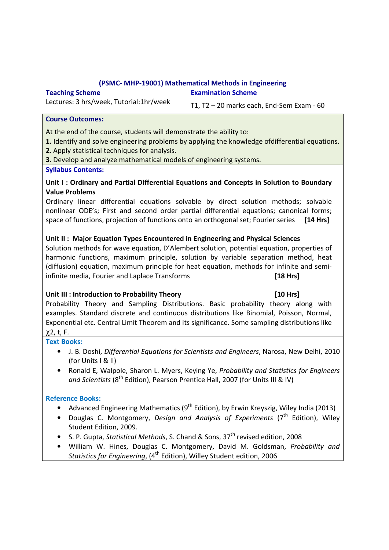# **(PSMC- MHP-19001) Mathematical Methods in Engineering**

**Examination Scheme**

## **Teaching Scheme**

Lectures: 3 hrs/week, Tutorial:1hr/week

T1, T2 – 20 marks each, End-Sem Exam - 60

# **Course Outcomes:**

At the end of the course, students will demonstrate the ability to:

- **1.** Identify and solve engineering problems by applying the knowledge ofdifferential equations.
- **2**. Apply statistical techniques for analysis.

**3**. Develop and analyze mathematical models of engineering systems.

# **Syllabus Contents:**

# **Unit I : Ordinary and Partial Differential Equations and Concepts in Solution to Boundary Value Problems**

Ordinary linear differential equations solvable by direct solution methods; solvable nonlinear ODE's; First and second order partial differential equations; canonical forms; space of functions, projection of functions onto an orthogonal set; Fourier series **[14 Hrs]** 

# **Unit II : Major Equation Types Encountered in Engineering and Physical Sciences**

Solution methods for wave equation, D'Alembert solution, potential equation, properties of harmonic functions, maximum principle, solution by variable separation method, heat (diffusion) equation, maximum principle for heat equation, methods for infinite and semiinfinite media, Fourier and Laplace Transforms **[18 Hrs]** 

# Unit III : Introduction to Probability Theory **[10 Hrs]**

Probability Theory and Sampling Distributions. Basic probability theory along with examples. Standard discrete and continuous distributions like Binomial, Poisson, Normal, Exponential etc. Central Limit Theorem and its significance. Some sampling distributions like χ2, t, F.

# **Text Books:**

- J. B. Doshi, *Differential Equations for Scientists and Engineers*, Narosa, New Delhi, 2010 (for Units I & II)
- Ronald E, Walpole, Sharon L. Myers, Keying Ye, *Probability and Statistics for Engineers*  and Scientists (8<sup>th</sup> Edition), Pearson Prentice Hall, 2007 (for Units III & IV)

# **Reference Books:**

- Advanced Engineering Mathematics  $(9^{th}$  Edition), by Erwin Kreyszig, Wiley India (2013)
- Douglas C. Montgomery, *Design and Analysis of Experiments* (7<sup>th</sup> Edition), Wiley Student Edition, 2009.
- S. P. Gupta, *Statistical Methods*, S. Chand & Sons, 37<sup>th</sup> revised edition, 2008
- William W. Hines, Douglas C. Montgomery, David M. Goldsman, *Probability and Statistics for Engineering*, (4<sup>th</sup> Edition), Willey Student edition, 2006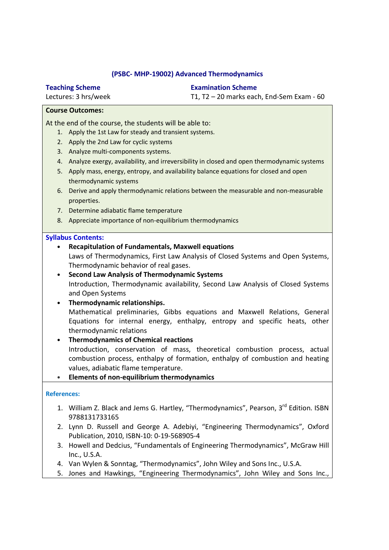## **(PSBC- MHP-19002) Advanced Thermodynamics**

**Teaching Scheme**

Lectures: 3 hrs/week

**Examination Scheme**

T1, T2 – 20 marks each, End-Sem Exam - 60

# **Course Outcomes:**

At the end of the course, the students will be able to:

- 1. Apply the 1st Law for steady and transient systems.
- 2. Apply the 2nd Law for cyclic systems
- 3. Analyze multi-components systems.
- 4. Analyze exergy, availability, and irreversibility in closed and open thermodynamic systems
- 5. Apply mass, energy, entropy, and availability balance equations for closed and open thermodynamic systems
- 6. Derive and apply thermodynamic relations between the measurable and non-measurable properties.
- 7. Determine adiabatic flame temperature
- 8. Appreciate importance of non-equilibrium thermodynamics

## **Syllabus Contents:**

• **Recapitulation of Fundamentals, Maxwell equations**  Laws of Thermodynamics, First Law Analysis of Closed Systems and Open Systems, Thermodynamic behavior of real gases. • **Second Law Analysis of Thermodynamic Systems**  Introduction, Thermodynamic availability, Second Law Analysis of Closed Systems and Open Systems • **Thermodynamic relationships.**  Mathematical preliminaries, Gibbs equations and Maxwell Relations, General Equations for internal energy, enthalpy, entropy and specific heats, other thermodynamic relations • **Thermodynamics of Chemical reactions**  Introduction, conservation of mass, theoretical combustion process, actual combustion process, enthalpy of formation, enthalpy of combustion and heating

values, adiabatic flame temperature.

• **Elements of non-equilibrium thermodynamics**

- 1. William Z. Black and Jems G. Hartley, "Thermodynamics", Pearson, 3<sup>rd</sup> Edition. ISBN 9788131733165
- 2. Lynn D. Russell and George A. Adebiyi, "Engineering Thermodynamics", Oxford Publication, 2010, ISBN-10: 0-19-568905-4
- 3. Howell and Dedcius, "Fundamentals of Engineering Thermodynamics", McGraw Hill Inc., U.S.A.
- 4. Van Wylen & Sonntag, "Thermodynamics", John Wiley and Sons Inc., U.S.A.
- 5. Jones and Hawkings, "Engineering Thermodynamics", John Wiley and Sons Inc.,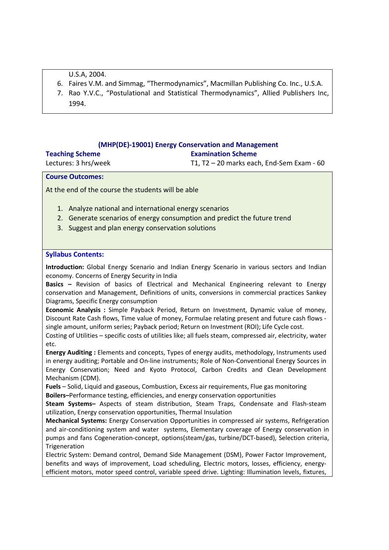U.S.A, 2004.

- 6. Faires V.M. and Simmag, "Thermodynamics", Macmillan Publishing Co. Inc., U.S.A.
- 7. Rao Y.V.C., "Postulational and Statistical Thermodynamics", Allied Publishers Inc, 1994.

## **(MHP(DE)-19001) Energy Conservation and Management**

## **Examination Scheme**

**Teaching Scheme** Lectures: 3 hrs/week

T1, T2 – 20 marks each, End-Sem Exam - 60

# **Course Outcomes:**

At the end of the course the students will be able

- 1. Analyze national and international energy scenarios
- 2. Generate scenarios of energy consumption and predict the future trend
- 3. Suggest and plan energy conservation solutions

## **Syllabus Contents:**

**Introduction:** Global Energy Scenario and Indian Energy Scenario in various sectors and Indian economy. Concerns of Energy Security in India

**Basics –** Revision of basics of Electrical and Mechanical Engineering relevant to Energy conservation and Management, Definitions of units, conversions in commercial practices Sankey Diagrams, Specific Energy consumption

**Economic Analysis :** Simple Payback Period, Return on Investment, Dynamic value of money, Discount Rate Cash flows, Time value of money, Formulae relating present and future cash flows single amount, uniform series; Payback period; Return on Investment (ROI); Life Cycle cost.

Costing of Utilities – specific costs of utilities like; all fuels steam, compressed air, electricity, water etc.

**Energy Auditing :** Elements and concepts, Types of energy audits, methodology, Instruments used in energy auditing; Portable and On-line instruments; Role of Non-Conventional Energy Sources in Energy Conservation; Need and Kyoto Protocol, Carbon Credits and Clean Development Mechanism (CDM).

**Fuels** – Solid, Liquid and gaseous, Combustion, Excess air requirements, Flue gas monitoring **Boilers–**Performance testing, efficiencies, and energy conservation opportunities

**Steam Systems–** Aspects of steam distribution, Steam Traps, Condensate and Flash-steam utilization, Energy conservation opportunities, Thermal Insulation

**Mechanical Systems:** Energy Conservation Opportunities in compressed air systems, Refrigeration and air-conditioning system and water systems, Elementary coverage of Energy conservation in pumps and fans Cogeneration-concept, options(steam/gas, turbine/DCT-based), Selection criteria, Trigeneration

Electric System: Demand control, Demand Side Management (DSM), Power Factor Improvement, benefits and ways of improvement, Load scheduling, Electric motors, losses, efficiency, energyefficient motors, motor speed control, variable speed drive. Lighting: Illumination levels, fixtures,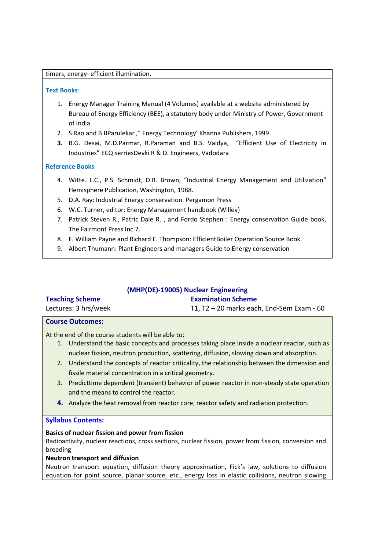#### timers, energy- efficient illumination.

#### **Text Books**:

- 1. Energy Manager Training Manual (4 Volumes) available at a website administered by Bureau of Energy Efficiency (BEE), a statutory body under Ministry of Power, Government of India.
- 2. S Rao and B BParulekar ," Energy Technology' Khanna Publishers, 1999
- **3.** B.G. Desai, M.D.Parmar, R.Paraman and B.S. Vaidya, "Efficient Use of Electricity in Industries" ECQ serriesDevki R & D. Engineers, Vadodara

## **Reference Books**

- 4. Witte. L.C., P.S. Schmidt, D.R. Brown, "Industrial Energy Management and Utilization" Hemisphere Publication, Washington, 1988.
- 5. D.A. Ray: Industrial Energy conservation. Pergamon Press
- 6. W.C. Turner, editor: Energy Management handbook (Willey)
- 7. Patrick Steven R., Patric Dale R. , and Fordo Stephen : Energy conservation Guide book, The Fairmont Press Inc.7.
- 8. F. William Payne and Richard E. Thompson: EfficientBoiler Operation Source Book.
- 9. Albert Thumann: Plant Engineers and managers Guide to Energy conservation

| (MHP(DE)-19005) Nuclear Engineering |                                             |  |
|-------------------------------------|---------------------------------------------|--|
| <b>Teaching Scheme</b>              | <b>Examination Scheme</b>                   |  |
| Lectures: 3 hrs/week                | T1, T2 $-$ 20 marks each, End-Sem Exam - 60 |  |

#### **Course Outcomes:**

At the end of the course students will be able to:

- 1. Understand the basic concepts and processes taking place inside a nuclear reactor, such as nuclear fission, neutron production, scattering, diffusion, slowing down and absorption.
- 2. Understand the concepts of reactor criticality, the relationship between the dimension and fissile material concentration in a critical geometry.
- 3. Predicttime dependent (transient) behavior of power reactor in non-steady state operation and the means to control the reactor.
- **4.** Analyze the heat removal from reactor core, reactor safety and radiation protection.

## **Syllabus Contents:**

### **Basics of nuclear fission and power from fission**

Radioactivity, nuclear reactions, cross sections, nuclear fission, power from fission, conversion and breeding

### **Neutron transport and diffusion**

Neutron transport equation, diffusion theory approximation, Fick's law, solutions to diffusion equation for point source, planar source, etc., energy loss in elastic collisions, neutron slowing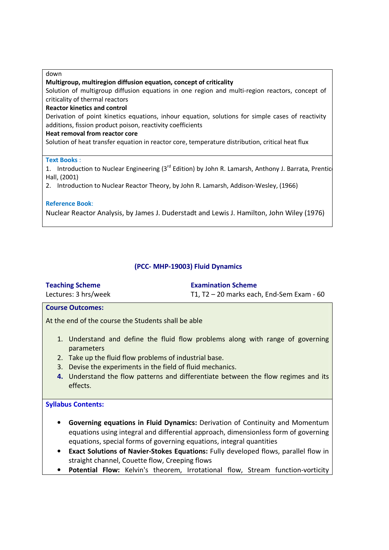#### down

#### **Multigroup, multiregion diffusion equation, concept of criticality**

Solution of multigroup diffusion equations in one region and multi-region reactors, concept of criticality of thermal reactors

#### **Reactor kinetics and control**

Derivation of point kinetics equations, inhour equation, solutions for simple cases of reactivity additions, fission product poison, reactivity coefficients

#### **Heat removal from reactor core**

Solution of heat transfer equation in reactor core, temperature distribution, critical heat flux

### **Text Books** :

1. Introduction to Nuclear Engineering (3<sup>rd</sup> Edition) by John R. Lamarsh, Anthony J. Barrata, Prentice Hall, (2001)

2. Introduction to Nuclear Reactor Theory, by John R. Lamarsh, Addison-Wesley, (1966)

## **Reference Book**:

Nuclear Reactor Analysis, by James J. Duderstadt and Lewis J. Hamilton, John Wiley (1976)

## **(PCC- MHP-19003) Fluid Dynamics**

| <b>Teaching Scheme</b>  | <b>Examination Scheme</b>                   |
|-------------------------|---------------------------------------------|
| Lectures: 3 hrs/week    | T1, T2 $-$ 20 marks each, End-Sem Exam - 60 |
| <b>Course Outcomes:</b> |                                             |

At the end of the course the Students shall be able

- 1. Understand and define the fluid flow problems along with range of governing parameters
- 2. Take up the fluid flow problems of industrial base.
- 3. Devise the experiments in the field of fluid mechanics.
- **4.** Understand the flow patterns and differentiate between the flow regimes and its effects.

## **Syllabus Contents:**

- **Governing equations in Fluid Dynamics:** Derivation of Continuity and Momentum equations using integral and differential approach, dimensionless form of governing equations, special forms of governing equations, integral quantities
- **Exact Solutions of Navier-Stokes Equations:** Fully developed flows, parallel flow in straight channel, Couette flow, Creeping flows
- **Potential Flow:** Kelvin's theorem, Irrotational flow, Stream function-vorticity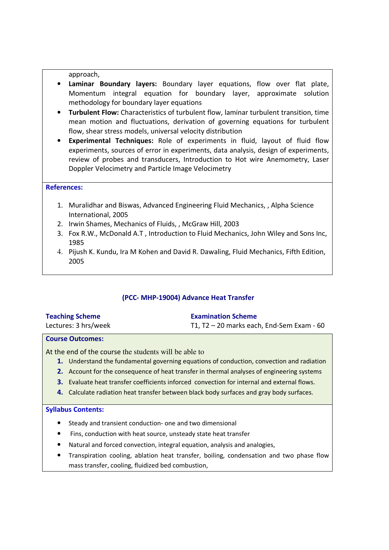approach,

- **Laminar Boundary layers:** Boundary layer equations, flow over flat plate, Momentum integral equation for boundary layer, approximate solution methodology for boundary layer equations
- **Turbulent Flow:** Characteristics of turbulent flow, laminar turbulent transition, time mean motion and fluctuations, derivation of governing equations for turbulent flow, shear stress models, universal velocity distribution
- **Experimental Techniques:** Role of experiments in fluid, layout of fluid flow experiments, sources of error in experiments, data analysis, design of experiments, review of probes and transducers, Introduction to Hot wire Anemometry, Laser Doppler Velocimetry and Particle Image Velocimetry

### **References:**

- 1. Muralidhar and Biswas, Advanced Engineering Fluid Mechanics, , Alpha Science International, 2005
- 2. Irwin Shames, Mechanics of Fluids, , McGraw Hill, 2003
- 3. Fox R.W., McDonald A.T , Introduction to Fluid Mechanics, John Wiley and Sons Inc, 1985
- 4. Pijush K. Kundu, Ira M Kohen and David R. Dawaling, Fluid Mechanics, Fifth Edition, 2005

# **(PCC- MHP-19004) Advance Heat Transfer**

| <b>Teaching Scheme</b> | <b>Examination Scheme</b>                   |
|------------------------|---------------------------------------------|
| Lectures: 3 hrs/week   | T1, T2 $-$ 20 marks each, End-Sem Exam - 60 |

### **Course Outcomes:**

At the end of the course the students will be able to

- **1.** Understand the fundamental governing equations of conduction, convection and radiation
- **2.** Account for the consequence of heat transfer in thermal analyses of engineering systems
- **3.** Evaluate heat transfer coefficients inforced convection for internal and external flows.
- **4.** Calculate radiation heat transfer between black body surfaces and gray body surfaces.

### **Syllabus Contents:**

- Steady and transient conduction- one and two dimensional
- Fins, conduction with heat source, unsteady state heat transfer
- Natural and forced convection, integral equation, analysis and analogies,
- Transpiration cooling, ablation heat transfer, boiling, condensation and two phase flow mass transfer, cooling, fluidized bed combustion,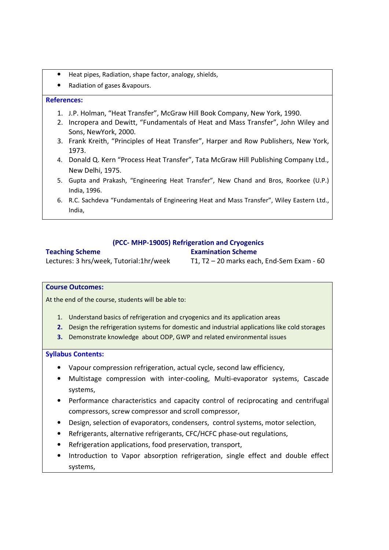- Heat pipes, Radiation, shape factor, analogy, shields,
- Radiation of gases &vapours.

## **References:**

- 1. J.P. Holman, "Heat Transfer", McGraw Hill Book Company, New York, 1990.
- 2. Incropera and Dewitt, "Fundamentals of Heat and Mass Transfer", John Wiley and Sons, NewYork, 2000.
- 3. Frank Kreith, "Principles of Heat Transfer", Harper and Row Publishers, New York, 1973.
- 4. Donald Q. Kern "Process Heat Transfer", Tata McGraw Hill Publishing Company Ltd., New Delhi, 1975.
- 5. Gupta and Prakash, "Engineering Heat Transfer", New Chand and Bros, Roorkee (U.P.) India, 1996.
- 6. R.C. Sachdeva "Fundamentals of Engineering Heat and Mass Transfer", Wiley Eastern Ltd., India,

# **(PCC- MHP-19005) Refrigeration and Cryogenics**

# **Teaching Scheme**

# **Examination Scheme**

Lectures: 3 hrs/week, Tutorial:1hr/week

T1, T2 – 20 marks each, End-Sem Exam - 60

### **Course Outcomes:**

At the end of the course, students will be able to:

- 1. Understand basics of refrigeration and cryogenics and its application areas
- **2.** Design the refrigeration systems for domestic and industrial applications like cold storages
- **3.** Demonstrate knowledge about ODP, GWP and related environmental issues

## **Syllabus Contents:**

- Vapour compression refrigeration, actual cycle, second law efficiency,
- Multistage compression with inter-cooling, Multi-evaporator systems, Cascade systems,
- Performance characteristics and capacity control of reciprocating and centrifugal compressors, screw compressor and scroll compressor,
- Design, selection of evaporators, condensers, control systems, motor selection,
- Refrigerants, alternative refrigerants, CFC/HCFC phase-out regulations,
- Refrigeration applications, food preservation, transport,
- Introduction to Vapor absorption refrigeration, single effect and double effect systems,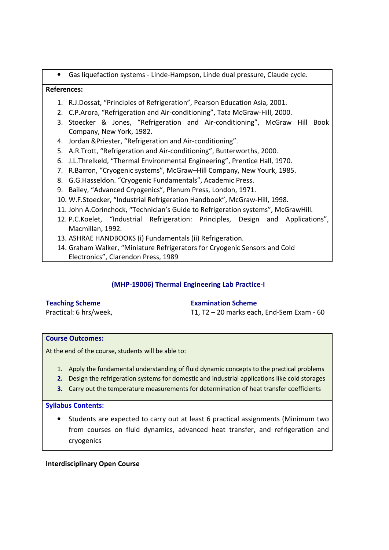• Gas liquefaction systems - Linde-Hampson, Linde dual pressure, Claude cycle.

# **References:**

- 1. R.J.Dossat, "Principles of Refrigeration", Pearson Education Asia, 2001.
- 2. C.P.Arora, "Refrigeration and Air-conditioning", Tata McGraw-Hill, 2000.
- 3. Stoecker & Jones, "Refrigeration and Air-conditioning", McGraw Hill Book Company, New York, 1982.
- 4. Jordan &Priester, "Refrigeration and Air-conditioning".
- 5. A.R.Trott, "Refrigeration and Air-conditioning", Butterworths, 2000.
- 6. J.L.Threlkeld, "Thermal Environmental Engineering", Prentice Hall, 1970.
- 7. R.Barron, "Cryogenic systems", McGraw–Hill Company, New Yourk, 1985.
- 8. G.G.Hasseldon. "Cryogenic Fundamentals", Academic Press.
- 9. Bailey, "Advanced Cryogenics", Plenum Press, London, 1971.
- 10. W.F.Stoecker, "Industrial Refrigeration Handbook", McGraw-Hill, 1998.
- 11. John A.Corinchock, "Technician's Guide to Refrigeration systems", McGrawHill.
- 12. P.C.Koelet, "Industrial Refrigeration: Principles, Design and Applications", Macmillan, 1992.
- 13. ASHRAE HANDBOOKS (i) Fundamentals (ii) Refrigeration.
- 14. Graham Walker, "Miniature Refrigerators for Cryogenic Sensors and Cold Electronics", Clarendon Press, 1989

# **(MHP-19006) Thermal Engineering Lab Practice-I**

## **Teaching Scheme**

Practical: 6 hrs/week,

**Examination Scheme**

T1, T2 – 20 marks each, End-Sem Exam - 60

### **Course Outcomes:**

At the end of the course, students will be able to:

- 1. Apply the fundamental understanding of fluid dynamic concepts to the practical problems
- **2.** Design the refrigeration systems for domestic and industrial applications like cold storages
- **3.** Carry out the temperature measurements for determination of heat transfer coefficients

### **Syllabus Contents:**

• Students are expected to carry out at least 6 practical assignments (Minimum two from courses on fluid dynamics, advanced heat transfer, and refrigeration and cryogenics

### **Interdisciplinary Open Course**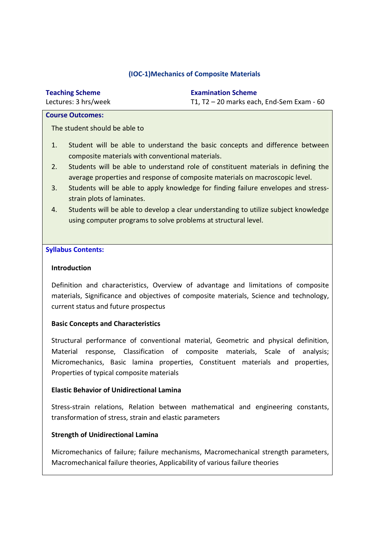# **(IOC-1)Mechanics of Composite Materials**

| <b>Teaching Scheme</b> | <b>Examination Scheme</b>                 |
|------------------------|-------------------------------------------|
| Lectures: 3 hrs/week   | T1, T2 - 20 marks each, End-Sem Exam - 60 |

#### **Course Outcomes:**

The student should be able to

- 1. Student will be able to understand the basic concepts and difference between composite materials with conventional materials.
- 2. Students will be able to understand role of constituent materials in defining the average properties and response of composite materials on macroscopic level.
- 3. Students will be able to apply knowledge for finding failure envelopes and stressstrain plots of laminates.
- 4. Students will be able to develop a clear understanding to utilize subject knowledge using computer programs to solve problems at structural level.

## **Syllabus Contents:**

### **Introduction**

Definition and characteristics, Overview of advantage and limitations of composite materials, Significance and objectives of composite materials, Science and technology, current status and future prospectus

### **Basic Concepts and Characteristics**

Structural performance of conventional material, Geometric and physical definition, Material response, Classification of composite materials, Scale of analysis; Micromechanics, Basic lamina properties, Constituent materials and properties, Properties of typical composite materials

### **Elastic Behavior of Unidirectional Lamina**

Stress-strain relations, Relation between mathematical and engineering constants, transformation of stress, strain and elastic parameters

### **Strength of Unidirectional Lamina**

Micromechanics of failure; failure mechanisms, Macromechanical strength parameters, Macromechanical failure theories, Applicability of various failure theories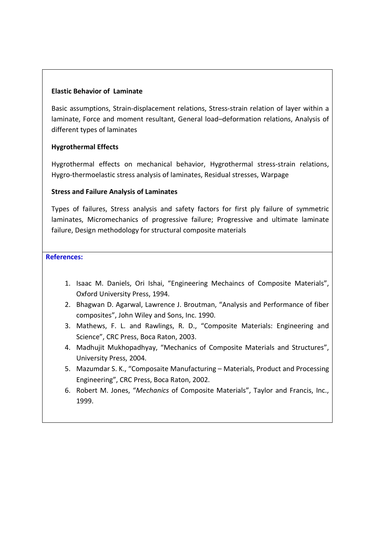## **Elastic Behavior of Laminate**

Basic assumptions, Strain-displacement relations, Stress-strain relation of layer within a laminate, Force and moment resultant, General load–deformation relations, Analysis of different types of laminates

# **Hygrothermal Effects**

Hygrothermal effects on mechanical behavior, Hygrothermal stress-strain relations, Hygro-thermoelastic stress analysis of laminates, Residual stresses, Warpage

# **Stress and Failure Analysis of Laminates**

Types of failures, Stress analysis and safety factors for first ply failure of symmetric laminates, Micromechanics of progressive failure; Progressive and ultimate laminate failure, Design methodology for structural composite materials

- 1. Isaac M. Daniels, Ori Ishai, "Engineering Mechaincs of Composite Materials", Oxford University Press, 1994.
- 2. Bhagwan D. Agarwal, Lawrence J. Broutman, "Analysis and Performance of fiber composites", John Wiley and Sons, Inc. 1990.
- 3. Mathews, F. L. and Rawlings, R. D., "Composite Materials: Engineering and Science", CRC Press, Boca Raton, 2003.
- 4. Madhujit Mukhopadhyay, "Mechanics of Composite Materials and Structures", University Press, 2004.
- 5. Mazumdar S. K., "Composaite Manufacturing Materials, Product and Processing Engineering", CRC Press, Boca Raton, 2002.
- 6. Robert M. Jones, "*Mechanics* of Composite Materials", Taylor and Francis, Inc., 1999.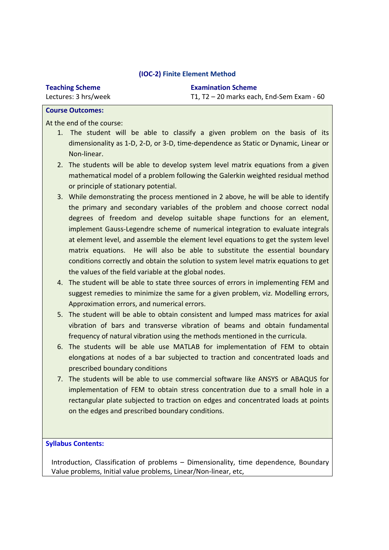## **(IOC-2) Finite Element Method**

**Teaching Scheme** Lectures: 3 hrs/week **Examination Scheme** T1, T2 – 20 marks each, End-Sem Exam - 60

## **Course Outcomes:**

At the end of the course:

- 1. The student will be able to classify a given problem on the basis of its dimensionality as 1-D, 2-D, or 3-D, time-dependence as Static or Dynamic, Linear or Non-linear.
- 2. The students will be able to develop system level matrix equations from a given mathematical model of a problem following the Galerkin weighted residual method or principle of stationary potential.
- 3. While demonstrating the process mentioned in 2 above, he will be able to identify the primary and secondary variables of the problem and choose correct nodal degrees of freedom and develop suitable shape functions for an element, implement Gauss-Legendre scheme of numerical integration to evaluate integrals at element level, and assemble the element level equations to get the system level matrix equations. He will also be able to substitute the essential boundary conditions correctly and obtain the solution to system level matrix equations to get the values of the field variable at the global nodes.
- 4. The student will be able to state three sources of errors in implementing FEM and suggest remedies to minimize the same for a given problem, viz. Modelling errors, Approximation errors, and numerical errors.
- 5. The student will be able to obtain consistent and lumped mass matrices for axial vibration of bars and transverse vibration of beams and obtain fundamental frequency of natural vibration using the methods mentioned in the curricula.
- 6. The students will be able use MATLAB for implementation of FEM to obtain elongations at nodes of a bar subjected to traction and concentrated loads and prescribed boundary conditions
- 7. The students will be able to use commercial software like ANSYS or ABAQUS for implementation of FEM to obtain stress concentration due to a small hole in a rectangular plate subjected to traction on edges and concentrated loads at points on the edges and prescribed boundary conditions.

**Syllabus Contents:** 

Introduction, Classification of problems – Dimensionality, time dependence, Boundary Value problems, Initial value problems, Linear/Non-linear, etc,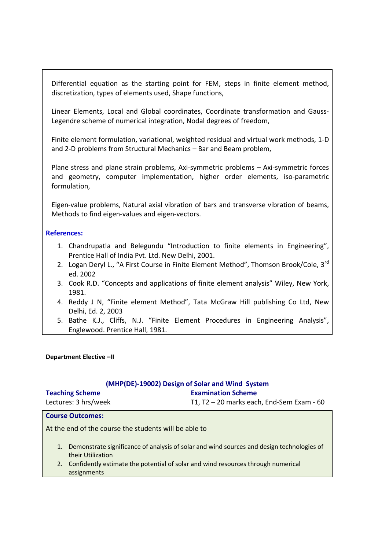Differential equation as the starting point for FEM, steps in finite element method, discretization, types of elements used, Shape functions,

Linear Elements, Local and Global coordinates, Coordinate transformation and Gauss-Legendre scheme of numerical integration, Nodal degrees of freedom,

Finite element formulation, variational, weighted residual and virtual work methods, 1-D and 2-D problems from Structural Mechanics – Bar and Beam problem,

Plane stress and plane strain problems, Axi-symmetric problems – Axi-symmetric forces and geometry, computer implementation, higher order elements, iso-parametric formulation,

Eigen-value problems, Natural axial vibration of bars and transverse vibration of beams, Methods to find eigen-values and eigen-vectors.

#### **References:**

- 1. Chandrupatla and Belegundu "Introduction to finite elements in Engineering", Prentice Hall of India Pvt. Ltd. New Delhi, 2001.
- 2. Logan Deryl L., "A First Course in Finite Element Method", Thomson Brook/Cole. 3<sup>rd</sup> ed. 2002
- 3. Cook R.D. "Concepts and applications of finite element analysis" Wiley, New York, 1981.
- 4. Reddy J N, "Finite element Method", Tata McGraw Hill publishing Co Ltd, New Delhi, Ed. 2, 2003
- 5. Bathe K.J., Cliffs, N.J. "Finite Element Procedures in Engineering Analysis", Englewood. Prentice Hall, 1981.

#### **Department Elective –II**

#### **(MHP(DE)-19002) Design of Solar and Wind System Examination Scheme**

**Teaching Scheme** Lectures: 3 hrs/week

T1, T2 – 20 marks each, End-Sem Exam - 60

#### **Course Outcomes:**

At the end of the course the students will be able to

- 1. Demonstrate significance of analysis of solar and wind sources and design technologies of their Utilization
- 2. Confidently estimate the potential of solar and wind resources through numerical assignments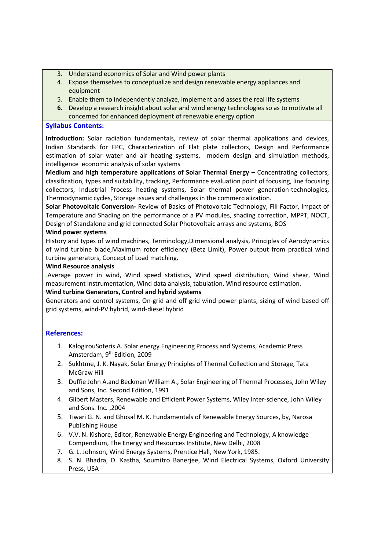- 3. Understand economics of Solar and Wind power plants
- 4. Expose themselves to conceptualize and design renewable energy appliances and equipment
- 5. Enable them to independently analyze, implement and asses the real life systems
- **6.** Develop a research insight about solar and wind energy technologies so as to motivate all concerned for enhanced deployment of renewable energy option

## **Syllabus Contents:**

**Introduction:** Solar radiation fundamentals, review of solar thermal applications and devices, Indian Standards for FPC, Characterization of Flat plate collectors, Design and Performance estimation of solar water and air heating systems, modern design and simulation methods, intelligence economic analysis of solar systems

**Medium and high temperature applications of Solar Thermal Energy –** Concentrating collectors, classification, types and suitability, tracking, Performance evaluation point of focusing, line focusing collectors, Industrial Process heating systems, Solar thermal power generation-technologies, Thermodynamic cycles, Storage issues and challenges in the commercialization.

**Solar Photovoltaic Conversion-** Review of Basics of Photovoltaic Technology, Fill Factor, Impact of Temperature and Shading on the performance of a PV modules, shading correction, MPPT, NOCT, Design of Standalone and grid connected Solar Photovoltaic arrays and systems, BOS

## **Wind power systems**

History and types of wind machines, Terminology,Dimensional analysis, Principles of Aerodynamics of wind turbine blade,Maximum rotor efficiency (Betz Limit), Power output from practical wind turbine generators, Concept of Load matching.

### **Wind Resource analysis**

.Average power in wind, Wind speed statistics, Wind speed distribution, Wind shear, Wind measurement instrumentation, Wind data analysis, tabulation, Wind resource estimation.

### **Wind turbine Generators, Control and hybrid systems**

Generators and control systems, On-grid and off grid wind power plants, sizing of wind based off grid systems, wind-PV hybrid, wind-diesel hybrid

- 1. KalogirouSoteris A. Solar energy Engineering Process and Systems, Academic Press Amsterdam, 9<sup>th</sup> Edition, 2009
- 2. Sukhtme, J. K. Nayak, Solar Energy Principles of Thermal Collection and Storage, Tata McGraw Hill
- 3. Duffie John A.and Beckman William A., Solar Engineering of Thermal Processes, John Wiley and Sons, Inc. Second Edition, 1991
- 4. Gilbert Masters, Renewable and Efficient Power Systems, Wiley Inter-science, John Wiley and Sons. Inc. ,2004
- 5. Tiwari G. N. and Ghosal M. K. Fundamentals of Renewable Energy Sources, by, Narosa Publishing House
- 6. V.V. N. Kishore, Editor, Renewable Energy Engineering and Technology, A knowledge Compendium, The Energy and Resources Institute, New Delhi, 2008
- 7. G. L. Johnson, Wind Energy Systems, Prentice Hall, New York, 1985.
- 8. S. N. Bhadra, D. Kastha, Soumitro Banerjee, Wind Electrical Systems, Oxford University Press, USA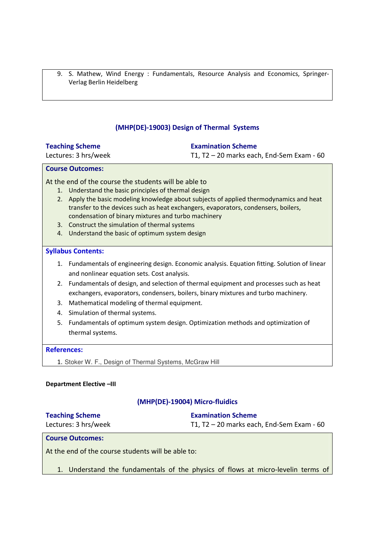9. S. Mathew, Wind Energy : Fundamentals, Resource Analysis and Economics, Springer-Verlag Berlin Heidelberg

# **(MHP(DE)-19003) Design of Thermal Systems**

## **Teaching Scheme**

Lectures: 3 hrs/week

## **Examination Scheme**

T1, T2 – 20 marks each, End-Sem Exam - 60

## **Course Outcomes:**

## At the end of the course the students will be able to

- 1. Understand the basic principles of thermal design
- 2. Apply the basic modeling knowledge about subjects of applied thermodynamics and heat transfer to the devices such as heat exchangers, evaporators, condensers, boilers, condensation of binary mixtures and turbo machinery
- 3. Construct the simulation of thermal systems
- 4. Understand the basic of optimum system design

### **Syllabus Contents:**

- 1. Fundamentals of engineering design. Economic analysis. Equation fitting. Solution of linear and nonlinear equation sets. Cost analysis.
- 2. Fundamentals of design, and selection of thermal equipment and processes such as heat exchangers, evaporators, condensers, boilers, binary mixtures and turbo machinery.
- 3. Mathematical modeling of thermal equipment.
- 4. Simulation of thermal systems.
- 5. Fundamentals of optimum system design. Optimization methods and optimization of thermal systems.

### **References:**

1. Stoker W. F., Design of Thermal Systems, McGraw Hill

### **Department Elective –III**

## **(MHP(DE)-19004) Micro-fluidics**

| <b>Teaching Scheme</b> | <b>Examination Scheme</b>                   |
|------------------------|---------------------------------------------|
| Lectures: 3 hrs/week   | T1, $T2 - 20$ marks each, End-Sem Exam - 60 |

#### **Course Outcomes:**

At the end of the course students will be able to:

1. Understand the fundamentals of the physics of flows at micro-levelin terms of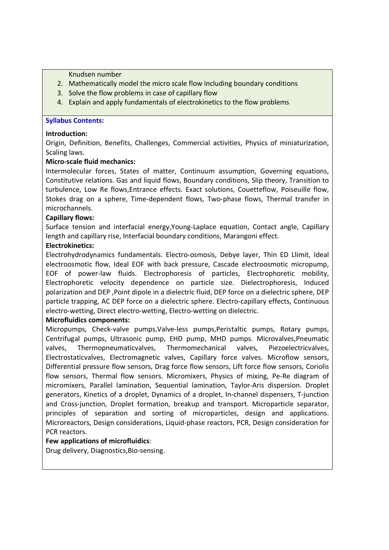Knudsen number

- 2. Mathematically model the micro scale flow including boundary conditions
- 3. Solve the flow problems in case of capillary flow
- 4. Explain and apply fundamentals of electrokinetics to the flow problems

## **Syllabus Contents:**

## **Introduction:**

Origin, Definition, Benefits, Challenges, Commercial activities, Physics of miniaturization, Scaling laws.

## **Micro-scale fluid mechanics:**

Intermolecular forces, States of matter, Continuum assumption, Governing equations, Constitutive relations. Gas and liquid flows, Boundary conditions, Slip theory, Transition to turbulence, Low Re flows,Entrance effects. Exact solutions, Couetteflow, Poiseuille flow, Stokes drag on a sphere, Time-dependent flows, Two-phase flows, Thermal transfer in microchannels.

## **Capillary flows:**

Surface tension and interfacial energy,Young-Laplace equation, Contact angle, Capillary length and capillary rise, Interfacial boundary conditions, Marangoni effect.

## **Electrokinetics:**

Electrohydrodynamics fundamentals. Electro-osmosis, Debye layer, Thin ED Llimit, Ideal electroosmotic flow, Ideal EOF with back pressure, Cascade electroosmotic micropump, EOF of power-law fluids. Electrophoresis of particles, Electrophoretic mobility, Electrophoretic velocity dependence on particle size. Dielectrophoresis, Induced polarization and DEP ,Point dipole in a dielectric fluid, DEP force on a dielectric sphere, DEP particle trapping, AC DEP force on a dielectric sphere. Electro-capillary effects, Continuous electro-wetting, Direct electro-wetting, Electro-wetting on dielectric.

## **Microfluidics components:**

Micropumps, Check-valve pumps,Valve-less pumps,Peristaltic pumps, Rotary pumps, Centrifugal pumps, Ultrasonic pump, EHD pump, MHD pumps. Microvalves,Pneumatic valves, Thermopneumaticvalves, Thermomechanical valves, Piezoelectricvalves, Electrostaticvalves, Electromagnetic valves, Capillary force valves. Microflow sensors, Differential pressure flow sensors, Drag force flow sensors, Lift force flow sensors, Coriolis flow sensors, Thermal flow sensors. Micromixers, Physics of mixing, Pe-Re diagram of micromixers, Parallel lamination, Sequential lamination, Taylor-Aris dispersion. Droplet generators, Kinetics of a droplet, Dynamics of a droplet, In-channel dispensers, T-junction and Cross-junction, Droplet formation, breakup and transport. Microparticle separator, principles of separation and sorting of microparticles, design and applications. Microreactors, Design considerations, Liquid-phase reactors, PCR, Design consideration for PCR reactors.

## **Few applications of microfluidics**:

Drug delivery, Diagnostics,Bio-sensing.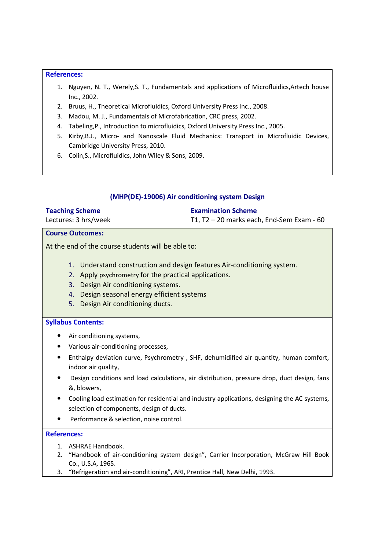### **References:**

- 1. Nguyen, N. T., Werely,S. T., Fundamentals and applications of Microfluidics,Artech house Inc., 2002.
- 2. Bruus, H., Theoretical Microfluidics, Oxford University Press Inc., 2008.
- 3. Madou, M. J., Fundamentals of Microfabrication, CRC press, 2002.
- 4. Tabeling,P., Introduction to microfluidics, Oxford University Press Inc., 2005.
- 5. Kirby,B.J., Micro- and Nanoscale Fluid Mechanics: Transport in Microfluidic Devices, Cambridge University Press, 2010.
- 6. Colin,S., Microfluidics, John Wiley & Sons, 2009.

## **(MHP(DE)-19006) Air conditioning system Design**

| <b>Teaching Scheme</b> | <b>Examination Scheme</b>                   |
|------------------------|---------------------------------------------|
| Lectures: 3 hrs/week   | T1, $T2 - 20$ marks each, End-Sem Exam - 60 |

#### **Course Outcomes:**

At the end of the course students will be able to:

- 1. Understand construction and design features Air-conditioning system.
- 2. Apply psychrometry for the practical applications.
- 3. Design Air conditioning systems.
- 4. Design seasonal energy efficient systems
- 5. Design Air conditioning ducts.

### **Syllabus Contents:**

- Air conditioning systems,
- Various air-conditioning processes,
- Enthalpy deviation curve, Psychrometry , SHF, dehumidified air quantity, human comfort, indoor air quality,
- Design conditions and load calculations, air distribution, pressure drop, duct design, fans &, blowers,
- Cooling load estimation for residential and industry applications, designing the AC systems, selection of components, design of ducts.
- Performance & selection, noise control.

- 1. ASHRAE Handbook.
- 2. "Handbook of air-conditioning system design", Carrier Incorporation, McGraw Hill Book Co., U.S.A, 1965.
- 3. "Refrigeration and air-conditioning", ARI, Prentice Hall, New Delhi, 1993.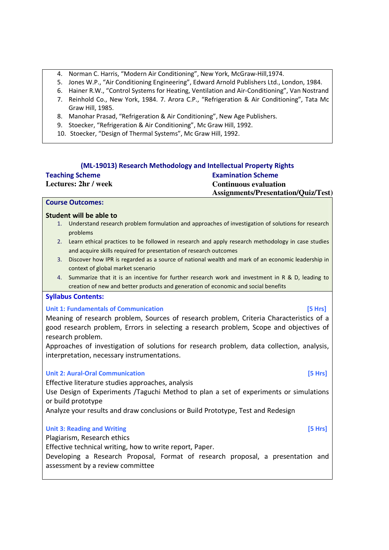- 4. Norman C. Harris, "Modern Air Conditioning", New York, McGraw-Hill,1974.
- 5. Jones W.P., "Air Conditioning Engineering", Edward Arnold Publishers Ltd., London, 1984.
- 6. Hainer R.W., "Control Systems for Heating, Ventilation and Air-Conditioning", Van Nostrand
- 7. Reinhold Co., New York, 1984. 7. Arora C.P., "Refrigeration & Air Conditioning", Tata Mc Graw Hill, 1985.
- 8. Manohar Prasad, "Refrigeration & Air Conditioning", New Age Publishers.
- 9. Stoecker, "Refrigeration & Air Conditioning", Mc Graw Hill, 1992.
- 10. Stoecker, "Design of Thermal Systems", Mc Graw Hill, 1992.

|                             | (ML-19013) Research Methodology and Intellectual Property Rights |
|-----------------------------|------------------------------------------------------------------|
| <b>Teaching Scheme</b>      | <b>Examination Scheme</b>                                        |
| <b>Lectures: 2hr / week</b> | <b>Continuous evaluation</b>                                     |
|                             | <b>Assignments/Presentation/Quiz/Test)</b>                       |

#### **Course Outcomes:**

#### **Student will be able to**

- 1. Understand research problem formulation and approaches of investigation of solutions for research problems
- 2. Learn ethical practices to be followed in research and apply research methodology in case studies and acquire skills required for presentation of research outcomes
- 3. Discover how IPR is regarded as a source of national wealth and mark of an economic leadership in context of global market scenario
- 4. Summarize that it is an incentive for further research work and investment in R & D, leading to creation of new and better products and generation of economic and social benefits

#### **Syllabus Contents:**

#### **Unit 1: Fundamentals of Communication <b>by the Communication [5 Hrs]**

Meaning of research problem, Sources of research problem, Criteria Characteristics of a good research problem, Errors in selecting a research problem, Scope and objectives of research problem.

Approaches of investigation of solutions for research problem, data collection, analysis, interpretation, necessary instrumentations.

#### **Unit 2: Aural-Oral Communication [5 Hrs]**

Effective literature studies approaches, analysis

Use Design of Experiments /Taguchi Method to plan a set of experiments or simulations or build prototype

Analyze your results and draw conclusions or Build Prototype, Test and Redesign

#### **Unit 3: Reading and Writing <b>and Exercise 2. Constant Constant Constant Constant Constant Constant Constant Constant Constant Constant Constant Constant Constant Constant Constant Constant Constant Constant Constant Con**

Plagiarism, Research ethics

Effective technical writing, how to write report, Paper.

Developing a Research Proposal, Format of research proposal, a presentation and assessment by a review committee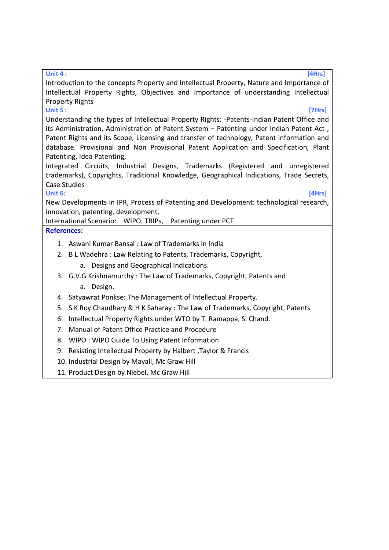#### **Unit 4 : [4Hrs]**

Introduction to the concepts Property and Intellectual Property, Nature and Importance of Intellectual Property Rights, Objectives and Importance of understanding Intellectual Property Rights

# **Unit 5 : [7Hrs]**

Understanding the types of Intellectual Property Rights: -Patents-Indian Patent Office and its Administration, Administration of Patent System – Patenting under Indian Patent Act , Patent Rights and its Scope, Licensing and transfer of technology, Patent information and database. Provisional and Non Provisional Patent Application and Specification, Plant Patenting, Idea Patenting,

Integrated Circuits, Industrial Designs, Trademarks (Registered and unregistered trademarks), Copyrights, Traditional Knowledge, Geographical Indications, Trade Secrets, Case Studies

## **Unit 6: [4Hrs]**

New Developments in IPR, Process of Patenting and Development: technological research, innovation, patenting, development,

International Scenario: WIPO, TRIPs, Patenting under PCT

- 1. Aswani Kumar Bansal : Law of Trademarks in India
- 2. B L Wadehra : Law Relating to Patents, Trademarks, Copyright,
	- a. Designs and Geographical Indications.
- 3. G.V.G Krishnamurthy : The Law of Trademarks, Copyright, Patents and
	- a. Design.
- 4. Satyawrat Ponkse: The Management of Intellectual Property.
- 5. S K Roy Chaudhary & H K Saharay : The Law of Trademarks, Copyright, Patents
- 6. Intellectual Property Rights under WTO by T. Ramappa, S. Chand.
- 7. Manual of Patent Office Practice and Procedure
- 8. WIPO : WIPO Guide To Using Patent Information
- 9. Resisting Intellectual Property by Halbert ,Taylor & Francis
- 10. Industrial Design by Mayall, Mc Graw Hill
- 11. Product Design by Niebel, Mc Graw Hill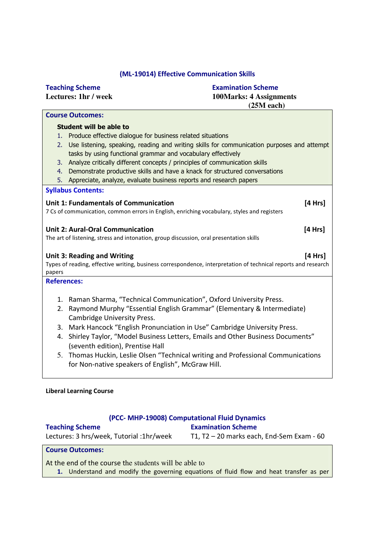# **(ML-19014) Effective Communication Skills**

| <b>Teaching Scheme</b>                                                                                         | <b>Examination Scheme</b>                                                                  |
|----------------------------------------------------------------------------------------------------------------|--------------------------------------------------------------------------------------------|
| Lectures: 1hr / week                                                                                           | <b>100Marks: 4 Assignments</b>                                                             |
|                                                                                                                | $(25M$ each)                                                                               |
| <b>Course Outcomes:</b>                                                                                        |                                                                                            |
| <b>Student will be able to</b>                                                                                 |                                                                                            |
| Produce effective dialogue for business related situations<br>1.                                               |                                                                                            |
| 2.                                                                                                             | Use listening, speaking, reading and writing skills for communication purposes and attempt |
| tasks by using functional grammar and vocabulary effectively                                                   |                                                                                            |
| Analyze critically different concepts / principles of communication skills<br>3.                               |                                                                                            |
| Demonstrate productive skills and have a knack for structured conversations<br>4.                              |                                                                                            |
| Appreciate, analyze, evaluate business reports and research papers<br>5.                                       |                                                                                            |
| <b>Syllabus Contents:</b>                                                                                      |                                                                                            |
| <b>Unit 1: Fundamentals of Communication</b>                                                                   |                                                                                            |
| 7 Cs of communication, common errors in English, enriching vocabulary, styles and registers                    | [4 Hrs]                                                                                    |
|                                                                                                                |                                                                                            |
| <b>Unit 2: Aural-Oral Communication</b>                                                                        | [4 Hrs]                                                                                    |
| The art of listening, stress and intonation, group discussion, oral presentation skills                        |                                                                                            |
|                                                                                                                |                                                                                            |
| <b>Unit 3: Reading and Writing</b>                                                                             | [4 Hrs]                                                                                    |
| Types of reading, effective writing, business correspondence, interpretation of technical reports and research |                                                                                            |
| papers                                                                                                         |                                                                                            |
| <b>References:</b>                                                                                             |                                                                                            |
|                                                                                                                |                                                                                            |
| 1. Raman Sharma, "Technical Communication", Oxford University Press.                                           |                                                                                            |
| 2.                                                                                                             | Raymond Murphy "Essential English Grammar" (Elementary & Intermediate)                     |
| <b>Cambridge University Press.</b>                                                                             |                                                                                            |
| 3. Mark Hancock "English Pronunciation in Use" Cambridge University Press.                                     |                                                                                            |
| 4.                                                                                                             | Shirley Taylor, "Model Business Letters, Emails and Other Business Documents"              |
| (seventh edition), Prentise Hall                                                                               |                                                                                            |
|                                                                                                                | 5. Thomas Huckin, Leslie Olsen "Technical writing and Professional Communications          |
| for Non-native speakers of English", McGraw Hill.                                                              |                                                                                            |
|                                                                                                                |                                                                                            |

## **Liberal Learning Course**

## **(PCC- MHP-19008) Computational Fluid Dynamics Examination Scheme**

| <b>Teaching Scheme</b>                   |
|------------------------------------------|
| Lectures: 3 hrs/week, Tutorial :1hr/week |

T1, T2 – 20 marks each, End-Sem Exam - 60

## **Course Outcomes:**

At the end of the course the students will be able to

**1.** Understand and modify the governing equations of fluid flow and heat transfer as per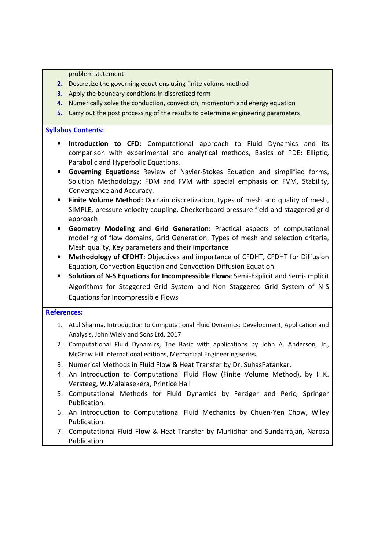problem statement

- **2.** Descretize the governing equations using finite volume method
- **3.** Apply the boundary conditions in discretized form
- **4.** Numerically solve the conduction, convection, momentum and energy equation
- **5.** Carry out the post processing of the results to determine engineering parameters

### **Syllabus Contents:**

- **Introduction to CFD:** Computational approach to Fluid Dynamics and its comparison with experimental and analytical methods, Basics of PDE: Elliptic, Parabolic and Hyperbolic Equations.
- **Governing Equations:** Review of Navier-Stokes Equation and simplified forms, Solution Methodology: FDM and FVM with special emphasis on FVM, Stability, Convergence and Accuracy.
- **Finite Volume Method:** Domain discretization, types of mesh and quality of mesh, SIMPLE, pressure velocity coupling, Checkerboard pressure field and staggered grid approach
- **Geometry Modeling and Grid Generation:** Practical aspects of computational modeling of flow domains, Grid Generation, Types of mesh and selection criteria, Mesh quality, Key parameters and their importance
- **Methodology of CFDHT:** Objectives and importance of CFDHT, CFDHT for Diffusion Equation, Convection Equation and Convection-Diffusion Equation
- **Solution of N-S Equations for Incompressible Flows:** Semi-Explicit and Semi-Implicit Algorithms for Staggered Grid System and Non Staggered Grid System of N-S Equations for Incompressible Flows

- 1. Atul Sharma, Introduction to Computational Fluid Dynamics: Development, Application and Analysis, John Wiely and Sons Ltd, 2017
- 2. Computational Fluid Dynamics, The Basic with applications by John A. Anderson, Jr., McGraw Hill International editions, Mechanical Engineering series.
- 3. Numerical Methods in Fluid Flow & Heat Transfer by Dr. SuhasPatankar.
- 4. An Introduction to Computational Fluid Flow (Finite Volume Method), by H.K. Versteeg, W.Malalasekera, Printice Hall
- 5. Computational Methods for Fluid Dynamics by Ferziger and Peric, Springer Publication.
- 6. An Introduction to Computational Fluid Mechanics by Chuen-Yen Chow, Wiley Publication.
- 7. Computational Fluid Flow & Heat Transfer by Murlidhar and Sundarrajan, Narosa Publication.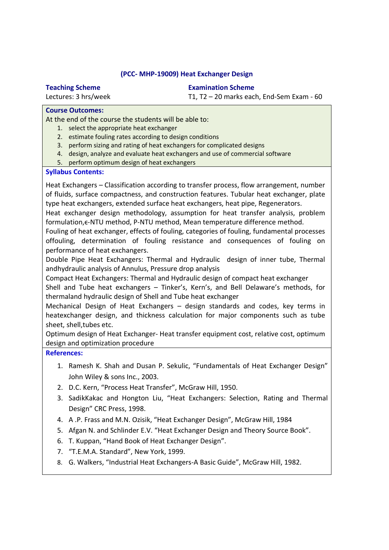## **(PCC- MHP-19009) Heat Exchanger Design**

# **Teaching Scheme**

Lectures: 3 hrs/week

**Examination Scheme**

T1, T2 – 20 marks each, End-Sem Exam - 60

## **Course Outcomes:**

At the end of the course the students will be able to:

- 1. select the appropriate heat exchanger
- 2. estimate fouling rates according to design conditions
- 3. perform sizing and rating of heat exchangers for complicated designs
- 4. design, analyze and evaluate heat exchangers and use of commercial software
- 5. perform optimum design of heat exchangers

## **Syllabus Contents:**

Heat Exchangers – Classification according to transfer process, flow arrangement, number of fluids, surface compactness, and construction features. Tubular heat exchanger, plate type heat exchangers, extended surface heat exchangers, heat pipe, Regenerators.

Heat exchanger design methodology, assumption for heat transfer analysis, problem formulation,ϵ-NTU method, P-NTU method, Mean temperature difference method.

Fouling of heat exchanger, effects of fouling, categories of fouling, fundamental processes offouling, determination of fouling resistance and consequences of fouling on performance of heat exchangers.

Double Pipe Heat Exchangers: Thermal and Hydraulic design of inner tube, Thermal andhydraulic analysis of Annulus, Pressure drop analysis

Compact Heat Exchangers: Thermal and Hydraulic design of compact heat exchanger

Shell and Tube heat exchangers – Tinker's, Kern's, and Bell Delaware's methods, for thermaland hydraulic design of Shell and Tube heat exchanger

Mechanical Design of Heat Exchangers – design standards and codes, key terms in heatexchanger design, and thickness calculation for major components such as tube sheet, shell,tubes etc.

Optimum design of Heat Exchanger- Heat transfer equipment cost, relative cost, optimum design and optimization procedure

- 1. Ramesh K. Shah and Dusan P. Sekulic, "Fundamentals of Heat Exchanger Design" John Wiley & sons Inc., 2003.
- 2. D.C. Kern, "Process Heat Transfer", McGraw Hill, 1950.
- 3. SadikKakac and Hongton Liu, "Heat Exchangers: Selection, Rating and Thermal Design" CRC Press, 1998.
- 4. A .P. Frass and M.N. Ozisik, "Heat Exchanger Design", McGraw Hill, 1984
- 5. Afgan N. and Schlinder E.V. "Heat Exchanger Design and Theory Source Book".
- 6. T. Kuppan, "Hand Book of Heat Exchanger Design".
- 7. "T.E.M.A. Standard", New York, 1999.
- 8. G. Walkers, "Industrial Heat Exchangers-A Basic Guide", McGraw Hill, 1982.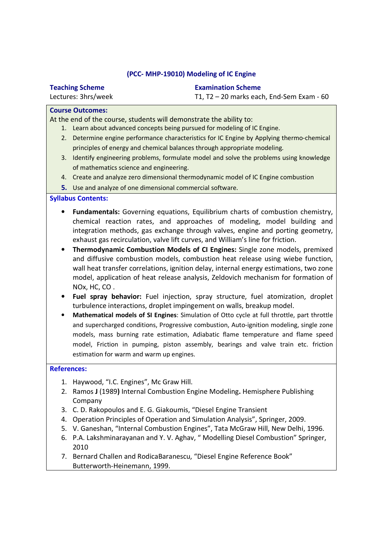## **(PCC- MHP-19010) Modeling of IC Engine**

| <b>Teaching Scheme</b>  | <b>Examination Scheme</b>                   |
|-------------------------|---------------------------------------------|
| Lectures: 3hrs/week     | T1, $T2 - 20$ marks each, End-Sem Exam - 60 |
| <b>Course Outcomes:</b> |                                             |

## **Course Outcomes:**

At the end of the course, students will demonstrate the ability to:

- 1. Learn about advanced concepts being pursued for modeling of IC Engine.
- 2. Determine engine performance characteristics for IC Engine by Applying thermo-chemical principles of energy and chemical balances through appropriate modeling.
- 3. Identify engineering problems, formulate model and solve the problems using knowledge of mathematics science and engineering.
- 4. Create and analyze zero dimensional thermodynamic model of IC Engine combustion
- **5.** Use and analyze of one dimensional commercial software.

# **Syllabus Contents:**

- **Fundamentals:** Governing equations, Equilibrium charts of combustion chemistry, chemical reaction rates, and approaches of modeling, model building and integration methods, gas exchange through valves, engine and porting geometry, exhaust gas recirculation, valve lift curves, and William's line for friction.
- **Thermodynamic Combustion Models of CI Engines:** Single zone models, premixed and diffusive combustion models, combustion heat release using wiebe function, wall heat transfer correlations, ignition delay, internal energy estimations, two zone model, application of heat release analysis, Zeldovich mechanism for formation of NOx, HC, CO .
- **Fuel spray behavior:** Fuel injection, spray structure, fuel atomization, droplet turbulence interactions, droplet impingement on walls, breakup model.
- **Mathematical models of SI Engines**: Simulation of Otto cycle at full throttle, part throttle and supercharged conditions, Progressive combustion, Auto-ignition modeling, single zone models, mass burning rate estimation, Adiabatic flame temperature and flame speed model, Friction in pumping, piston assembly, bearings and valve train etc. friction estimation for warm and warm up engines.

- 1. Haywood, "I.C. Engines", Mc Graw Hill.
- 2. Ramos **J** (1989**)** Internal Combustion Engine Modeling**.** Hemisphere Publishing Company
- 3. C. D. Rakopoulos and E. G. Giakoumis, "Diesel Engine Transient
- 4. Operation Principles of Operation and Simulation Analysis", Springer, 2009.
- 5. V. Ganeshan, "Internal Combustion Engines", Tata McGraw Hill, New Delhi, 1996.
- 6. P.A. Lakshminarayanan and Y. V. Aghav, " Modelling Diesel Combustion" Springer, 2010
- 7. Bernard Challen and RodicaBaranescu, "Diesel Engine Reference Book" Butterworth-Heinemann, 1999.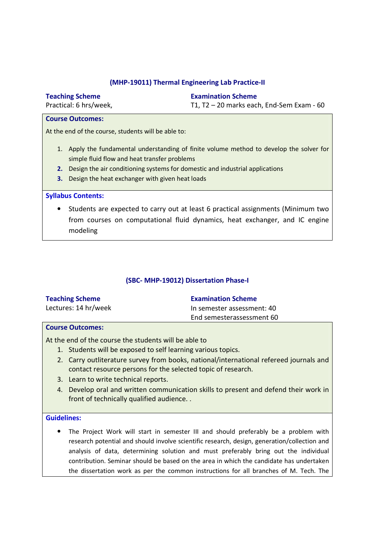## **(MHP-19011) Thermal Engineering Lab Practice-II**

|                                                                                                                                                                                                                                                                                      | <b>Teaching Scheme</b>    | <b>Examination Scheme</b>                 |
|--------------------------------------------------------------------------------------------------------------------------------------------------------------------------------------------------------------------------------------------------------------------------------------|---------------------------|-------------------------------------------|
|                                                                                                                                                                                                                                                                                      | Practical: 6 hrs/week,    | T1, T2 - 20 marks each, End-Sem Exam - 60 |
|                                                                                                                                                                                                                                                                                      | <b>Course Outcomes:</b>   |                                           |
| At the end of the course, students will be able to:                                                                                                                                                                                                                                  |                           |                                           |
| 1. Apply the fundamental understanding of finite volume method to develop the solver for<br>simple fluid flow and heat transfer problems<br>2. Design the air conditioning systems for domestic and industrial applications<br>Design the heat exchanger with given heat loads<br>з. |                           |                                           |
|                                                                                                                                                                                                                                                                                      | <b>Syllabus Contents:</b> |                                           |

• Students are expected to carry out at least 6 practical assignments (Minimum two from courses on computational fluid dynamics, heat exchanger, and IC engine modeling

# **(SBC- MHP-19012) Dissertation Phase-I**

| <b>Teaching Scheme</b> | <b>Examination Scheme</b>  |
|------------------------|----------------------------|
| Lectures: 14 hr/week   | In semester assessment: 40 |
|                        | End semesterassessment 60  |

# **Course Outcomes:**

At the end of the course the students will be able to

- 1. Students will be exposed to self learning various topics.
- 2. Carry outliterature survey from books, national/international refereed journals and contact resource persons for the selected topic of research.
- 3. Learn to write technical reports.
- 4. Develop oral and written communication skills to present and defend their work in front of technically qualified audience. .

## **Guidelines:**

• The Project Work will start in semester III and should preferably be a problem with research potential and should involve scientific research, design, generation/collection and analysis of data, determining solution and must preferably bring out the individual contribution. Seminar should be based on the area in which the candidate has undertaken the dissertation work as per the common instructions for all branches of M. Tech. The